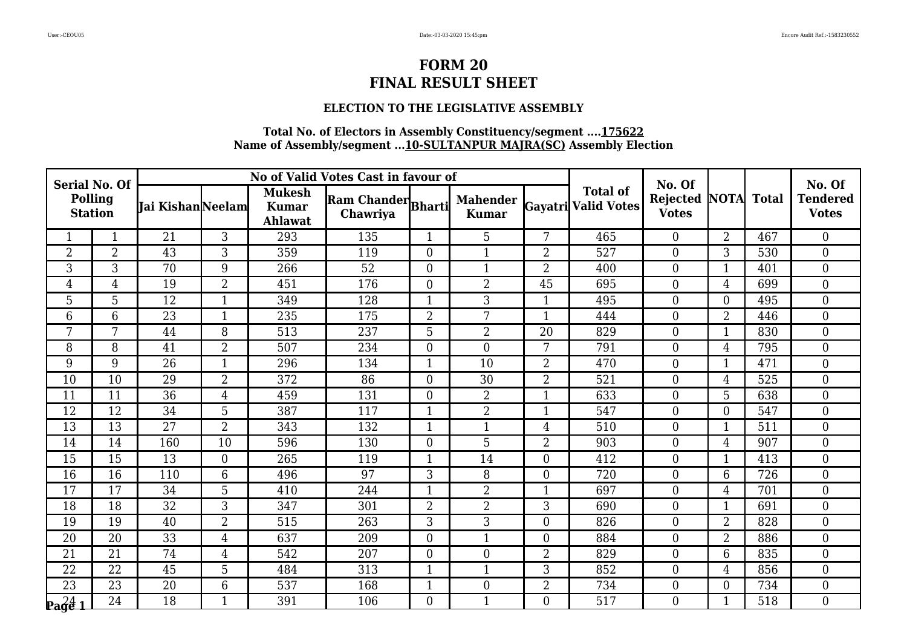### **ELECTION TO THE LEGISLATIVE ASSEMBLY**

| <b>Serial No. Of</b>                   |                 |                   |                |                                                 | No of Valid Votes Cast in favour of |                |                                 |                |                                               | No. Of                                     |                |     | No. Of                          |
|----------------------------------------|-----------------|-------------------|----------------|-------------------------------------------------|-------------------------------------|----------------|---------------------------------|----------------|-----------------------------------------------|--------------------------------------------|----------------|-----|---------------------------------|
| <b>Polling</b><br><b>Station</b>       |                 | Iai Kishan Neelam |                | <b>Mukesh</b><br><b>Kumar</b><br><b>Ahlawat</b> | Ram Chander Bharti<br>Chawriya      |                | <b>Mahender</b><br><b>Kumar</b> |                | <b>Total of</b><br><b>Gayatri Valid Votes</b> | <b>Rejected NOTA Total</b><br><b>Votes</b> |                |     | <b>Tendered</b><br><b>Votes</b> |
|                                        | $\mathbf{1}$    | 21                | 3              | 293                                             | 135                                 | $\mathbf{1}$   | 5                               | 7              | 465                                           | $\overline{0}$                             | $\overline{2}$ | 467 | $\overline{0}$                  |
| $\overline{2}$                         | $\overline{2}$  | 43                | 3              | 359                                             | 119                                 | $\overline{0}$ | 1                               | $\overline{2}$ | 527                                           | $\overline{0}$                             | 3              | 530 | $\overline{0}$                  |
| $\overline{3}$                         | $\overline{3}$  | 70                | $\overline{9}$ | 266                                             | 52                                  | $\overline{0}$ | $\mathbf{1}$                    | $\overline{2}$ | 400                                           | $\mathbf{0}$                               | $\mathbf{1}$   | 401 | $\overline{0}$                  |
| $\overline{4}$                         | $\overline{4}$  | 19                | $\overline{2}$ | 451                                             | 176                                 | 0              | $\overline{2}$                  | 45             | 695                                           | $\overline{0}$                             | $\overline{4}$ | 699 | $\overline{0}$                  |
| 5                                      | 5               | 12                | $\mathbf 1$    | 349                                             | 128                                 | 1              | 3                               |                | 495                                           | $\overline{0}$                             | $\overline{0}$ | 495 | $\boldsymbol{0}$                |
| $6\,$                                  | $6\phantom{1}$  | 23                | $\mathbf{1}$   | 235                                             | 175                                 | $\overline{2}$ | 7                               | $\mathbf{1}$   | 444                                           | $\mathbf{0}$                               | $\overline{2}$ | 446 | $\boldsymbol{0}$                |
| 7                                      | 7               | 44                | 8              | 513                                             | 237                                 | 5              | $\overline{2}$                  | 20             | 829                                           | $\theta$                                   | $\mathbf{1}$   | 830 | $\overline{0}$                  |
| 8                                      | 8               | 41                | $\overline{2}$ | 507                                             | 234                                 | $\overline{0}$ | $\boldsymbol{0}$                | 7              | 791                                           | $\overline{0}$                             | $\overline{4}$ | 795 | $\boldsymbol{0}$                |
| 9                                      | 9               | $\overline{26}$   | $\mathbf{1}$   | 296                                             | 134                                 |                | 10                              | $\overline{2}$ | 470                                           | $\mathbf{0}$                               | $\mathbf 1$    | 471 | $\boldsymbol{0}$                |
| 10                                     | $\overline{10}$ | $\overline{29}$   | $\overline{2}$ | 372                                             | $\overline{86}$                     | $\overline{0}$ | 30                              | $\overline{2}$ | 521                                           | $\theta$                                   | $\overline{4}$ | 525 | $\overline{0}$                  |
| 11                                     | 11              | 36                | 4              | 459                                             | 131                                 | 0              | $\overline{2}$                  | $\mathbf{1}$   | 633                                           | $\mathbf{0}$                               | 5              | 638 | $\boldsymbol{0}$                |
| 12                                     | 12              | 34                | 5              | 387                                             | 117                                 | 1              | $\overline{2}$                  | $\mathbf{1}$   | 547                                           | $\overline{0}$                             | $\overline{0}$ | 547 | $\boldsymbol{0}$                |
| 13                                     | 13              | $\overline{27}$   | $\overline{2}$ | 343                                             | 132                                 | $\mathbf{1}$   | $\mathbf{1}$                    | $\overline{4}$ | 510                                           | $\theta$                                   | $\mathbf{1}$   | 511 | $\overline{0}$                  |
| 14                                     | 14              | 160               | 10             | 596                                             | 130                                 | $\overline{0}$ | 5                               | $\overline{2}$ | 903                                           | $\theta$                                   | 4              | 907 | $\boldsymbol{0}$                |
| 15                                     | 15              | 13                | $\mathbf{0}$   | 265                                             | 119                                 | 1              | 14                              | $\Omega$       | 412                                           | $\overline{0}$                             | $\mathbf{1}$   | 413 | $\boldsymbol{0}$                |
| 16                                     | 16              | 110               | 6              | 496                                             | 97                                  | 3              | 8                               | $\Omega$       | 720                                           | $\theta$                                   | 6              | 726 | $\overline{0}$                  |
| 17                                     | 17              | 34                | 5              | 410                                             | 244                                 | 1              | $\overline{2}$                  | 1              | 697                                           | $\boldsymbol{0}$                           | 4              | 701 | $\boldsymbol{0}$                |
| $\overline{18}$                        | $\overline{18}$ | $\overline{32}$   | 3              | 347                                             | 301                                 | $\overline{2}$ | $\overline{2}$                  | 3              | 690                                           | $\overline{0}$                             | $\mathbf{1}$   | 691 | $\mathbf{0}$                    |
| 19                                     | 19              | 40                | $\overline{2}$ | 515                                             | 263                                 | 3              | 3                               | $\overline{0}$ | 826                                           | $\theta$                                   | $\overline{2}$ | 828 | $\overline{0}$                  |
| 20                                     | 20              | 33                | 4              | 637                                             | 209                                 | 0              | $\mathbf{1}$                    | $\overline{0}$ | 884                                           | $\mathbf{0}$                               | $\overline{2}$ | 886 | $\boldsymbol{0}$                |
| 21                                     | 21              | 74                | 4              | 542                                             | 207                                 | $\overline{0}$ | $\boldsymbol{0}$                | $\overline{2}$ | 829                                           | $\overline{0}$                             | 6              | 835 | $\boldsymbol{0}$                |
| 22                                     | 22              | 45                | 5              | 484                                             | 313                                 | $\mathbf{1}$   | $\mathbf{1}$                    | 3              | 852                                           | $\Omega$                                   | 4              | 856 | $\boldsymbol{0}$                |
| 23                                     | 23              | 20                | 6              | 537                                             | 168                                 | 1              | $\boldsymbol{0}$                | 2              | 734                                           | $\overline{0}$                             | $\overline{0}$ | 734 | $\boldsymbol{0}$                |
| $\mathbf{p_4} \mathbf{q_6} \mathbf{1}$ | 24              | 18                | $\mathbf{1}$   | 391                                             | 106                                 | $\overline{0}$ | $\mathbf{1}$                    | $\Omega$       | 517                                           | $\overline{0}$                             | $\mathbf{1}$   | 518 | $\overline{0}$                  |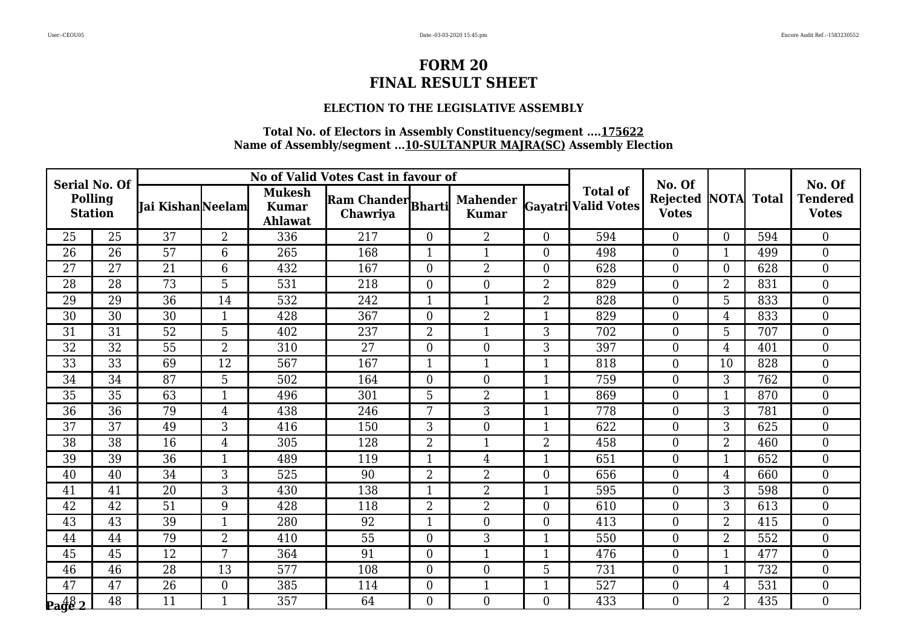### **ELECTION TO THE LEGISLATIVE ASSEMBLY**

| <b>Serial No. Of</b>             |                 |                  |                  |                                          | No of Valid Votes Cast in favour of |                  |                                 |                |                                               | No. Of                   |                  |              | No. Of                          |
|----------------------------------|-----------------|------------------|------------------|------------------------------------------|-------------------------------------|------------------|---------------------------------|----------------|-----------------------------------------------|--------------------------|------------------|--------------|---------------------------------|
| <b>Polling</b><br><b>Station</b> |                 | Jai KishanNeelam |                  | <b>Mukesh</b><br><b>Kumar</b><br>Ahlawat | Ram Chander Bharti<br>Chawriya      |                  | <b>Mahender</b><br><b>Kumar</b> |                | <b>Total of</b><br><b>Gayatri Valid Votes</b> | Rejected<br><b>Votes</b> | <b>NOTA</b>      | <b>Total</b> | <b>Tendered</b><br><b>Votes</b> |
| 25                               | 25              | 37               | $\overline{2}$   | 336                                      | 217                                 | $\overline{0}$   | $\overline{2}$                  | $\Omega$       | 594                                           | $\overline{0}$           | $\overline{0}$   | 594          | $\boldsymbol{0}$                |
| 26                               | 26              | 57               | 6                | 265                                      | 168                                 | $\mathbf{1}$     | $\mathbf 1$                     | $\theta$       | 498                                           | $\overline{0}$           | $\mathbf{1}$     | 499          | $\boldsymbol{0}$                |
| 27                               | 27              | 21               | $6\phantom{1}6$  | 432                                      | 167                                 | $\boldsymbol{0}$ | $\overline{2}$                  | $\overline{0}$ | 628                                           | $\boldsymbol{0}$         | $\boldsymbol{0}$ | 628          | $\overline{0}$                  |
| 28                               | 28              | 73               | 5                | 531                                      | 218                                 | $\overline{0}$   | $\boldsymbol{0}$                | $\overline{2}$ | 829                                           | $\overline{0}$           | $\overline{2}$   | 831          | $\boldsymbol{0}$                |
| 29                               | 29              | $\overline{36}$  | 14               | 532                                      | 242                                 | $\mathbf{1}$     | $\mathbf{1}$                    | $\overline{2}$ | 828                                           | $\boldsymbol{0}$         | 5                | 833          | $\overline{0}$                  |
| 30                               | 30              | 30               | $\mathbf{1}$     | 428                                      | 367                                 | $\boldsymbol{0}$ | $\overline{2}$                  | 1              | 829                                           | $\boldsymbol{0}$         | 4                | 833          | $\boldsymbol{0}$                |
| 31                               | 31              | 52               | 5                | 402                                      | 237                                 | $\overline{2}$   | $\mathbf{1}$                    | 3              | 702                                           | $\overline{0}$           | 5                | 707          | $\mathbf{0}$                    |
| 32                               | 32              | 55               | $\overline{2}$   | 310                                      | 27                                  | $\boldsymbol{0}$ | $\boldsymbol{0}$                | 3              | 397                                           | $\boldsymbol{0}$         | 4                | 401          | $\overline{0}$                  |
| $\overline{33}$                  | $\overline{33}$ | 69               | $\overline{12}$  | 567                                      | 167                                 | $\mathbf{1}$     | $\mathbf{1}$                    | $\mathbf 1$    | 818                                           | $\boldsymbol{0}$         | 10               | 828          | $\boldsymbol{0}$                |
| 34                               | $\overline{34}$ | $\overline{87}$  | 5                | 502                                      | 164                                 | $\overline{0}$   | $\boldsymbol{0}$                | $\mathbf{1}$   | 759                                           | $\overline{0}$           | 3                | 762          | $\mathbf{0}$                    |
| 35                               | 35              | 63               | $\mathbf{1}$     | 496                                      | 301                                 | 5                | $\overline{2}$                  | $\mathbf{1}$   | 869                                           | $\boldsymbol{0}$         | $\mathbf{1}$     | 870          | $\boldsymbol{0}$                |
| 36                               | 36              | 79               | $\overline{4}$   | 438                                      | 246                                 | 7                | 3                               | $\mathbf 1$    | 778                                           | $\mathbf{0}$             | 3                | 781          | $\boldsymbol{0}$                |
| 37                               | 37              | 49               | 3                | 416                                      | 150                                 | 3                | $\boldsymbol{0}$                | 1              | 622                                           | $\overline{0}$           | 3                | 625          | $\mathbf{0}$                    |
| 38                               | 38              | 16               | $\overline{4}$   | 305                                      | 128                                 | $\overline{2}$   | $\mathbf{1}$                    | $\overline{2}$ | 458                                           | $\boldsymbol{0}$         | $\overline{2}$   | 460          | $\mathbf{0}$                    |
| 39                               | 39              | 36               | $\mathbf{1}$     | 489                                      | 119                                 | $\mathbf{1}$     | 4                               | $\mathbf 1$    | 651                                           | $\mathbf{0}$             | $\mathbf{1}$     | 652          | $\mathbf{0}$                    |
| 40                               | 40              | 34               | 3                | 525                                      | 90                                  | $\overline{2}$   | $\overline{2}$                  | $\Omega$       | 656                                           | $\overline{0}$           | 4                | 660          | $\boldsymbol{0}$                |
| 41                               | 41              | 20               | 3                | 430                                      | 138                                 | $\mathbf{1}$     | $\overline{2}$                  |                | 595                                           | $\boldsymbol{0}$         | 3                | 598          | $\boldsymbol{0}$                |
| $\overline{42}$                  | $\overline{42}$ | 51               | 9                | 428                                      | 118                                 | $\overline{2}$   | $\overline{2}$                  | $\theta$       | 610                                           | $\mathbf{0}$             | 3                | 613          | $\mathbf{0}$                    |
| 43                               | 43              | 39               | $\mathbf{1}$     | 280                                      | 92                                  | $\mathbf{1}$     | $\boldsymbol{0}$                | $\Omega$       | 413                                           | $\overline{0}$           | $\overline{2}$   | 415          | $\mathbf{0}$                    |
| 44                               | 44              | 79               | $\overline{2}$   | 410                                      | 55                                  | $\boldsymbol{0}$ | 3                               |                | 550                                           | $\boldsymbol{0}$         | $\overline{2}$   | 552          | $\boldsymbol{0}$                |
| 45                               | 45              | 12               | 7                | 364                                      | 91                                  | $\boldsymbol{0}$ | $\mathbf{1}$                    | $\mathbf{1}$   | 476                                           | $\boldsymbol{0}$         | $\overline{1}$   | 477          | $\boldsymbol{0}$                |
| 46                               | 46              | 28               | 13               | 577                                      | 108                                 | $\overline{0}$   | $\boldsymbol{0}$                | 5              | 731                                           | $\overline{0}$           | $\mathbf{1}$     | 732          | $\boldsymbol{0}$                |
| 47                               | 47              | 26               | $\boldsymbol{0}$ | 385                                      | 114                                 | $\overline{0}$   | $\mathbf{1}$                    |                | 527                                           | $\mathbf{0}$             | 4                | 531          | $\boldsymbol{0}$                |
| $\frac{48}{2}$                   | 48              | 11               | $\mathbf{1}$     | 357                                      | 64                                  | $\overline{0}$   | $\boldsymbol{0}$                | $\overline{0}$ | 433                                           | $\boldsymbol{0}$         | $\overline{2}$   | 435          | $\boldsymbol{0}$                |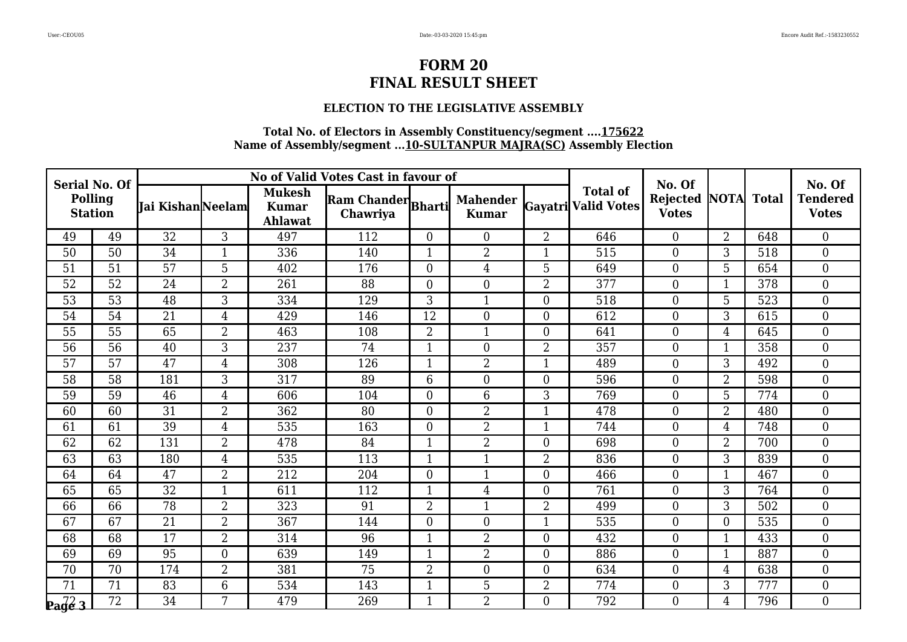### **ELECTION TO THE LEGISLATIVE ASSEMBLY**

| <b>Serial No. Of</b>             |                 |                  |                  |                                          | No of Valid Votes Cast in favour of |                  |                                 |                |                                               | No. Of                   |                |              | No. Of                          |
|----------------------------------|-----------------|------------------|------------------|------------------------------------------|-------------------------------------|------------------|---------------------------------|----------------|-----------------------------------------------|--------------------------|----------------|--------------|---------------------------------|
| <b>Polling</b><br><b>Station</b> |                 | Jai KishanNeelam |                  | <b>Mukesh</b><br><b>Kumar</b><br>Ahlawat | Ram Chander Bharti<br>Chawriya      |                  | <b>Mahender</b><br><b>Kumar</b> |                | <b>Total of</b><br><b>Gayatri Valid Votes</b> | Rejected<br><b>Votes</b> | <b>NOTA</b>    | <b>Total</b> | <b>Tendered</b><br><b>Votes</b> |
| 49                               | 49              | 32               | 3                | 497                                      | 112                                 | $\overline{0}$   | $\boldsymbol{0}$                | $\overline{2}$ | 646                                           | $\overline{0}$           | $\overline{2}$ | 648          | $\boldsymbol{0}$                |
| 50                               | 50              | 34               | $\mathbf{1}$     | 336                                      | 140                                 | $\mathbf{1}$     | $\overline{2}$                  |                | 515                                           | $\overline{0}$           | 3              | 518          | $\boldsymbol{0}$                |
| 51                               | 51              | 57               | $\overline{5}$   | 402                                      | 176                                 | $\boldsymbol{0}$ | $\overline{4}$                  | 5              | 649                                           | $\boldsymbol{0}$         | 5              | 654          | $\overline{0}$                  |
| 52                               | 52              | 24               | $\overline{2}$   | 261                                      | 88                                  | $\overline{0}$   | $\boldsymbol{0}$                | 2              | 377                                           | $\overline{0}$           | $\mathbf{1}$   | 378          | $\boldsymbol{0}$                |
| 53                               | $\overline{53}$ | 48               | 3                | 334                                      | 129                                 | 3                | $\mathbf{1}$                    | $\theta$       | 518                                           | $\boldsymbol{0}$         | 5              | 523          | $\overline{0}$                  |
| 54                               | 54              | 21               | $\overline{4}$   | 429                                      | 146                                 | $\overline{12}$  | $\boldsymbol{0}$                | $\theta$       | 612                                           | $\boldsymbol{0}$         | 3              | 615          | $\boldsymbol{0}$                |
| 55                               | 55              | 65               | $\overline{2}$   | 463                                      | 108                                 | $\overline{2}$   | $\mathbf{1}$                    | $\Omega$       | 641                                           | $\overline{0}$           | $\overline{4}$ | 645          | $\mathbf{0}$                    |
| 56                               | 56              | 40               | 3                | 237                                      | 74                                  | $\mathbf{1}$     | $\boldsymbol{0}$                | $\overline{2}$ | 357                                           | $\boldsymbol{0}$         | $\mathbf{1}$   | 358          | $\overline{0}$                  |
| $\overline{57}$                  | 57              | $\overline{47}$  | $\overline{4}$   | 308                                      | 126                                 | $\mathbf{1}$     | $\overline{2}$                  | 1              | 489                                           | $\boldsymbol{0}$         | 3              | 492          | $\boldsymbol{0}$                |
| 58                               | 58              | 181              | 3                | 317                                      | 89                                  | 6                | $\boldsymbol{0}$                | $\Omega$       | 596                                           | $\overline{0}$           | $\overline{2}$ | 598          | $\mathbf{0}$                    |
| 59                               | 59              | 46               | $\overline{4}$   | 606                                      | 104                                 | $\boldsymbol{0}$ | 6                               | 3              | 769                                           | $\boldsymbol{0}$         | 5              | 774          | $\boldsymbol{0}$                |
| 60                               | 60              | 31               | $\overline{2}$   | 362                                      | 80                                  | $\boldsymbol{0}$ | $\overline{2}$                  | $\mathbf 1$    | 478                                           | $\mathbf{0}$             | $\overline{2}$ | 480          | $\boldsymbol{0}$                |
| 61                               | 61              | 39               | $\overline{4}$   | 535                                      | 163                                 | $\overline{0}$   | $\overline{2}$                  | $\mathbf{1}$   | 744                                           | $\overline{0}$           | 4              | 748          | $\mathbf{0}$                    |
| 62                               | 62              | 131              | $\overline{2}$   | 478                                      | 84                                  | $\mathbf{1}$     | $\overline{2}$                  | $\Omega$       | 698                                           | $\boldsymbol{0}$         | $\overline{2}$ | 700          | $\mathbf{0}$                    |
| 63                               | 63              | 180              | $\overline{4}$   | 535                                      | 113                                 | $\mathbf{1}$     | $\mathbf{1}$                    | $\overline{2}$ | 836                                           | $\mathbf{0}$             | 3              | 839          | $\mathbf{0}$                    |
| 64                               | 64              | 47               | $\overline{2}$   | 212                                      | 204                                 | $\overline{0}$   | $\mathbf{1}$                    | $\Omega$       | 466                                           | $\overline{0}$           | $\mathbf{1}$   | 467          | $\boldsymbol{0}$                |
| 65                               | 65              | 32               | $\mathbf{1}$     | 611                                      | 112                                 | $\mathbf{1}$     | $\overline{4}$                  | $\Omega$       | 761                                           | $\mathbf{0}$             | 3              | 764          | $\boldsymbol{0}$                |
| 66                               | 66              | 78               | $\overline{2}$   | 323                                      | 91                                  | $\overline{2}$   | $\mathbf{1}$                    | $\overline{2}$ | 499                                           | $\mathbf{0}$             | 3              | 502          | $\mathbf{0}$                    |
| 67                               | 67              | 21               | $\overline{2}$   | 367                                      | 144                                 | $\overline{0}$   | $\boldsymbol{0}$                | 1              | 535                                           | $\overline{0}$           | $\overline{0}$ | 535          | $\mathbf{0}$                    |
| 68                               | 68              | 17               | $\overline{2}$   | 314                                      | 96                                  | $\mathbf{1}$     | $\overline{2}$                  | $\theta$       | 432                                           | $\boldsymbol{0}$         | $\mathbf{1}$   | 433          | $\boldsymbol{0}$                |
| 69                               | 69              | 95               | $\boldsymbol{0}$ | 639                                      | 149                                 | $\mathbf{1}$     | $\overline{2}$                  | $\overline{0}$ | 886                                           | $\boldsymbol{0}$         | $\overline{1}$ | 887          | $\boldsymbol{0}$                |
| 70                               | 70              | 174              | $\overline{2}$   | 381                                      | 75                                  | $\overline{2}$   | $\boldsymbol{0}$                | $\Omega$       | 634                                           | $\overline{0}$           | 4              | 638          | $\boldsymbol{0}$                |
| 71                               | 71              | 83               | 6                | 534                                      | 143                                 | $\mathbf{1}$     | 5                               | $\overline{2}$ | 774                                           | $\mathbf{0}$             | 3              | 777          | $\boldsymbol{0}$                |
| $\sqrt{\frac{2}{6}}$             | $\overline{72}$ | $\overline{34}$  | 7                | 479                                      | 269                                 | 1                | $\overline{2}$                  | $\Omega$       | 792                                           | $\mathbf{0}$             | 4              | 796          | $\boldsymbol{0}$                |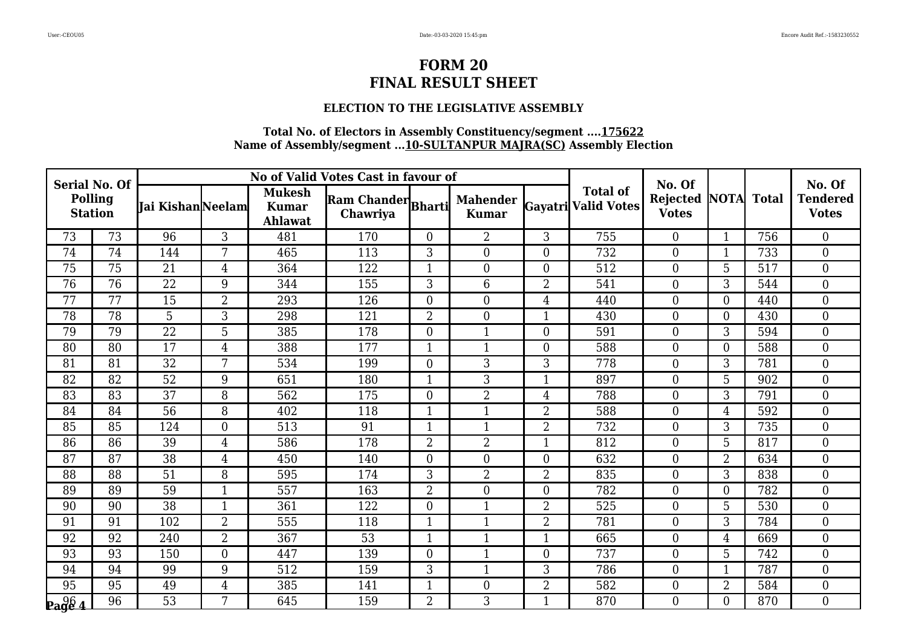### **ELECTION TO THE LEGISLATIVE ASSEMBLY**

| <b>Serial No. Of</b>      |                 |                         |                  |                                                 | No of Valid Votes Cast in favour of |                  |                                 |                |                                               | No. Of                   |                  |              | No. Of                          |
|---------------------------|-----------------|-------------------------|------------------|-------------------------------------------------|-------------------------------------|------------------|---------------------------------|----------------|-----------------------------------------------|--------------------------|------------------|--------------|---------------------------------|
| Polling<br><b>Station</b> |                 | <b>Jai KishanNeelam</b> |                  | <b>Mukesh</b><br><b>Kumar</b><br><b>Ahlawat</b> | Ram Chander Bharti<br>Chawriya      |                  | <b>Mahender</b><br><b>Kumar</b> |                | <b>Total of</b><br><b>Gayatri Valid Votes</b> | Rejected<br><b>Votes</b> | <b>NOTA</b>      | <b>Total</b> | <b>Tendered</b><br><b>Votes</b> |
| 73                        | 73              | 96                      | 3                | 481                                             | 170                                 | $\overline{0}$   | $\overline{2}$                  | 3              | 755                                           | $\overline{0}$           | $\mathbf{1}$     | 756          | $\boldsymbol{0}$                |
| 74                        | 74              | 144                     | 7                | 465                                             | 113                                 | 3                | $\boldsymbol{0}$                | $\overline{0}$ | 732                                           | $\overline{0}$           | $\mathbf{1}$     | 733          | $\boldsymbol{0}$                |
| 75                        | 75              | 21                      | $\overline{4}$   | 364                                             | 122                                 | $\mathbf{1}$     | $\boldsymbol{0}$                | $\overline{0}$ | 512                                           | $\boldsymbol{0}$         | 5                | 517          | $\boldsymbol{0}$                |
| 76                        | 76              | 22                      | 9                | 344                                             | 155                                 | 3                | 6                               | $\overline{2}$ | 541                                           | $\overline{0}$           | 3                | 544          | $\boldsymbol{0}$                |
| 77                        | 77              | 15                      | $\overline{2}$   | 293                                             | 126                                 | $\overline{0}$   | $\boldsymbol{0}$                | 4              | 440                                           | $\overline{0}$           | $\boldsymbol{0}$ | 440          | $\overline{0}$                  |
| 78                        | 78              | 5                       | 3                | 298                                             | 121                                 | $\overline{2}$   | $\boldsymbol{0}$                | 1              | 430                                           | $\mathbf{0}$             | $\boldsymbol{0}$ | 430          | $\boldsymbol{0}$                |
| 79                        | 79              | 22                      | 5                | 385                                             | 178                                 | $\overline{0}$   | $\mathbf{1}$                    | $\Omega$       | 591                                           | $\overline{0}$           | 3                | 594          | $\boldsymbol{0}$                |
| 80                        | 80              | 17                      | 4                | 388                                             | 177                                 | $\mathbf{1}$     | $\mathbf{1}$                    | $\overline{0}$ | 588                                           | $\boldsymbol{0}$         | $\boldsymbol{0}$ | 588          | $\boldsymbol{0}$                |
| 81                        | 81              | $\overline{32}$         | 7                | 534                                             | 199                                 | $\overline{0}$   | 3                               | 3              | 778                                           | $\boldsymbol{0}$         | 3                | 781          | $\boldsymbol{0}$                |
| 82                        | 82              | 52                      | 9                | 651                                             | 180                                 | $\mathbf{1}$     | 3                               | $\mathbf{1}$   | 897                                           | $\overline{0}$           | 5                | 902          | $\boldsymbol{0}$                |
| 83                        | 83              | 37                      | 8                | 562                                             | 175                                 | $\boldsymbol{0}$ | $\overline{2}$                  | 4              | 788                                           | $\boldsymbol{0}$         | 3                | 791          | $\overline{0}$                  |
| 84                        | 84              | 56                      | 8                | 402                                             | 118                                 | $\mathbf{1}$     | $\mathbf{1}$                    | $\overline{2}$ | 588                                           | $\boldsymbol{0}$         | $\overline{4}$   | 592          | $\boldsymbol{0}$                |
| 85                        | 85              | 124                     | $\boldsymbol{0}$ | 513                                             | 91                                  | $\mathbf{1}$     | $\mathbf{1}$                    | $\overline{2}$ | 732                                           | $\overline{0}$           | 3                | 735          | $\boldsymbol{0}$                |
| 86                        | 86              | 39                      | 4                | 586                                             | 178                                 | $\overline{2}$   | $\overline{2}$                  | 1              | 812                                           | $\boldsymbol{0}$         | 5                | 817          | $\boldsymbol{0}$                |
| 87                        | 87              | 38                      | $\overline{4}$   | 450                                             | 140                                 | $\overline{0}$   | $\mathbf{0}$                    | $\overline{0}$ | 632                                           | $\mathbf{0}$             | $\overline{2}$   | 634          | $\boldsymbol{0}$                |
| 88                        | 88              | 51                      | 8                | 595                                             | 174                                 | 3                | $\overline{2}$                  | $\overline{2}$ | 835                                           | $\overline{0}$           | 3                | 838          | $\boldsymbol{0}$                |
| 89                        | 89              | 59                      | $\mathbf 1$      | 557                                             | 163                                 | $\overline{2}$   | $\boldsymbol{0}$                | $\overline{0}$ | 782                                           | $\boldsymbol{0}$         | $\boldsymbol{0}$ | 782          | $\boldsymbol{0}$                |
| 90                        | 90              | $\overline{38}$         | $\mathbf{1}$     | 361                                             | 122                                 | $\overline{0}$   | $\mathbf{1}$                    | $\overline{2}$ | 525                                           | $\boldsymbol{0}$         | 5                | 530          | $\mathbf{0}$                    |
| 91                        | 91              | 102                     | 2                | 555                                             | 118                                 | $\mathbf{1}$     | $\mathbf{1}$                    | 2              | 781                                           | $\overline{0}$           | 3                | 784          | $\boldsymbol{0}$                |
| 92                        | 92              | 240                     | $\overline{2}$   | 367                                             | 53                                  | $\mathbf{1}$     | $\overline{1}$                  | 1              | 665                                           | $\boldsymbol{0}$         | 4                | 669          | $\boldsymbol{0}$                |
| 93                        | 93              | 150                     | $\boldsymbol{0}$ | 447                                             | 139                                 | $\overline{0}$   | $\mathbf{1}$                    | $\overline{0}$ | 737                                           | $\boldsymbol{0}$         | 5                | 742          | $\boldsymbol{0}$                |
| 94                        | 94              | 99                      | 9                | 512                                             | 159                                 | 3                | $\mathbf{1}$                    | 3              | 786                                           | $\overline{0}$           | $\mathbf{1}$     | 787          | $\boldsymbol{0}$                |
| 95                        | 95              | 49                      | $\overline{4}$   | 385                                             | 141                                 | 1                | $\boldsymbol{0}$                | $\overline{2}$ | 582                                           | $\overline{0}$           | $\overline{2}$   | 584          | $\boldsymbol{0}$                |
| $\log_{4}$                | $\overline{96}$ | 53                      | 7                | 645                                             | 159                                 | $\overline{2}$   | 3                               | 1              | 870                                           | $\overline{0}$           | $\overline{0}$   | 870          | $\boldsymbol{0}$                |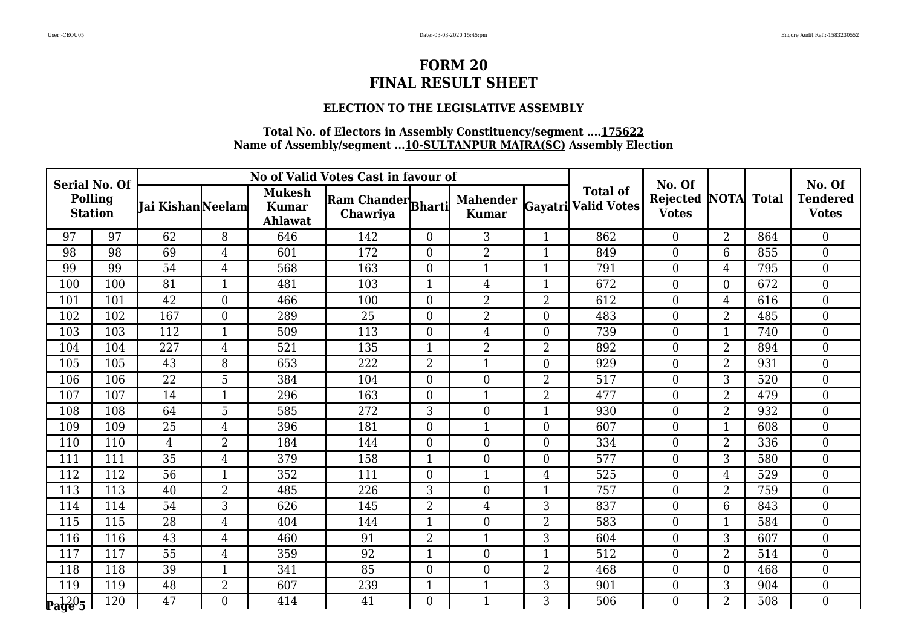### **ELECTION TO THE LEGISLATIVE ASSEMBLY**

| <b>Serial No. Of</b>      |     |                          |                  |                                          | No of Valid Votes Cast in favour of |                  |                                 |                |                                        | No. Of                               |                |              | No. Of                          |
|---------------------------|-----|--------------------------|------------------|------------------------------------------|-------------------------------------|------------------|---------------------------------|----------------|----------------------------------------|--------------------------------------|----------------|--------------|---------------------------------|
| Polling<br><b>Station</b> |     | <b>Tai Kishan</b> Neelam |                  | <b>Mukesh</b><br><b>Kumar</b><br>Ahlawat | Ram Chander Bharti<br>Chawriya      |                  | <b>Mahender</b><br><b>Kumar</b> |                | <b>Total of</b><br>Gayatri Valid Votes | <b>Rejected NOTA</b><br><b>Votes</b> |                | <b>Total</b> | <b>Tendered</b><br><b>Votes</b> |
| 97                        | 97  | 62                       | 8                | 646                                      | 142                                 | $\overline{0}$   | 3                               | 1              | 862                                    | $\overline{0}$                       | $\overline{2}$ | 864          | $\boldsymbol{0}$                |
| 98                        | 98  | 69                       | $\overline{4}$   | 601                                      | 172                                 | $\boldsymbol{0}$ | $\overline{2}$                  | 1              | 849                                    | $\boldsymbol{0}$                     | 6              | 855          | $\boldsymbol{0}$                |
| 99                        | 99  | 54                       | $\overline{4}$   | 568                                      | 163                                 | $\boldsymbol{0}$ | $\mathbf{1}$                    | 1              | 791                                    | $\boldsymbol{0}$                     | 4              | 795          | $\boldsymbol{0}$                |
| 100                       | 100 | 81                       | $\mathbf{1}$     | 481                                      | 103                                 | $\mathbf{1}$     | $\overline{4}$                  | 1              | 672                                    | $\theta$                             | $\overline{0}$ | 672          | $\boldsymbol{0}$                |
| 101                       | 101 | $\overline{42}$          | $\boldsymbol{0}$ | 466                                      | 100                                 | $\boldsymbol{0}$ | $\overline{2}$                  | $\overline{2}$ | 612                                    | $\boldsymbol{0}$                     | 4              | 616          | $\boldsymbol{0}$                |
| 102                       | 102 | 167                      | $\boldsymbol{0}$ | 289                                      | 25                                  | $\overline{0}$   | 2                               | $\overline{0}$ | 483                                    | $\boldsymbol{0}$                     | $\overline{2}$ | 485          | $\boldsymbol{0}$                |
| 103                       | 103 | 112                      | $\mathbf{1}$     | 509                                      | 113                                 | $\overline{0}$   | 4                               | $\Omega$       | 739                                    | $\overline{0}$                       | 1              | 740          | $\boldsymbol{0}$                |
| 104                       | 104 | 227                      | 4                | 521                                      | 135                                 | $\mathbf 1$      | $\overline{2}$                  | $\overline{2}$ | 892                                    | $\boldsymbol{0}$                     | $\overline{2}$ | 894          | $\boldsymbol{0}$                |
| 105                       | 105 | $\overline{43}$          | 8                | 653                                      | 222                                 | $\overline{2}$   | $\mathbf{1}$                    | $\overline{0}$ | 929                                    | $\boldsymbol{0}$                     | $\overline{2}$ | 931          | $\boldsymbol{0}$                |
| 106                       | 106 | 22                       | 5                | 384                                      | 104                                 | $\overline{0}$   | $\boldsymbol{0}$                | $\overline{2}$ | 517                                    | $\overline{0}$                       | 3              | 520          | $\boldsymbol{0}$                |
| 107                       | 107 | 14                       | $\overline{1}$   | 296                                      | 163                                 | $\overline{0}$   | $\mathbf{1}$                    | $\overline{2}$ | 477                                    | $\overline{0}$                       | $\overline{2}$ | 479          | $\boldsymbol{0}$                |
| 108                       | 108 | 64                       | 5                | 585                                      | 272                                 | 3                | $\boldsymbol{0}$                | 1              | 930                                    | $\boldsymbol{0}$                     | $\overline{2}$ | 932          | $\boldsymbol{0}$                |
| 109                       | 109 | 25                       | $\overline{4}$   | 396                                      | 181                                 | $\overline{0}$   | $\mathbf{1}$                    | $\Omega$       | 607                                    | $\overline{0}$                       | 1              | 608          | $\boldsymbol{0}$                |
| 110                       | 110 | $\overline{4}$           | $\overline{2}$   | 184                                      | 144                                 | $\overline{0}$   | $\boldsymbol{0}$                | $\Omega$       | 334                                    | $\boldsymbol{0}$                     | $\overline{2}$ | 336          | $\boldsymbol{0}$                |
| 111                       | 111 | 35                       | 4                | 379                                      | 158                                 |                  | $\boldsymbol{0}$                | $\overline{0}$ | 577                                    | $\boldsymbol{0}$                     | 3              | 580          | $\boldsymbol{0}$                |
| 112                       | 112 | 56                       | $\mathbf{1}$     | 352                                      | 111                                 | $\overline{0}$   | $\mathbf{1}$                    | 4              | 525                                    | $\theta$                             | 4              | 529          | $\boldsymbol{0}$                |
| 113                       | 113 | 40                       | $\overline{2}$   | 485                                      | 226                                 | 3                | $\boldsymbol{0}$                |                | 757                                    | $\boldsymbol{0}$                     | $\overline{2}$ | 759          | $\boldsymbol{0}$                |
| 114                       | 114 | 54                       | 3                | 626                                      | 145                                 | $\overline{2}$   | $\overline{4}$                  | 3              | 837                                    | $\boldsymbol{0}$                     | 6              | 843          | $\boldsymbol{0}$                |
| 115                       | 115 | 28                       | 4                | 404                                      | 144                                 | 1                | $\boldsymbol{0}$                | $\overline{2}$ | 583                                    | $\overline{0}$                       | 1              | 584          | $\overline{0}$                  |
| 116                       | 116 | 43                       | 4                | 460                                      | 91                                  | $\overline{2}$   | $\mathbf{1}$                    | 3              | 604                                    | $\boldsymbol{0}$                     | 3              | 607          | $\boldsymbol{0}$                |
| 117                       | 117 | 55                       | $\overline{4}$   | 359                                      | 92                                  |                  | $\boldsymbol{0}$                |                | 512                                    | $\boldsymbol{0}$                     | $\overline{2}$ | 514          | $\boldsymbol{0}$                |
| 118                       | 118 | 39                       | $\mathbf{1}$     | 341                                      | 85                                  | $\overline{0}$   | $\boldsymbol{0}$                | $\overline{2}$ | 468                                    | $\overline{0}$                       | $\overline{0}$ | 468          | $\boldsymbol{0}$                |
| 119                       | 119 | 48                       | $\overline{2}$   | 607                                      | 239                                 |                  | $\mathbf{1}$                    | 3              | 901                                    | $\boldsymbol{0}$                     | 3              | 904          | $\boldsymbol{0}$                |
| $\mathbf{p_1}^{120}$ 5    | 120 | 47                       | $\overline{0}$   | 414                                      | 41                                  | $\overline{0}$   | $\mathbf{1}$                    | 3              | 506                                    | $\boldsymbol{0}$                     | $\overline{2}$ | 508          | $\boldsymbol{0}$                |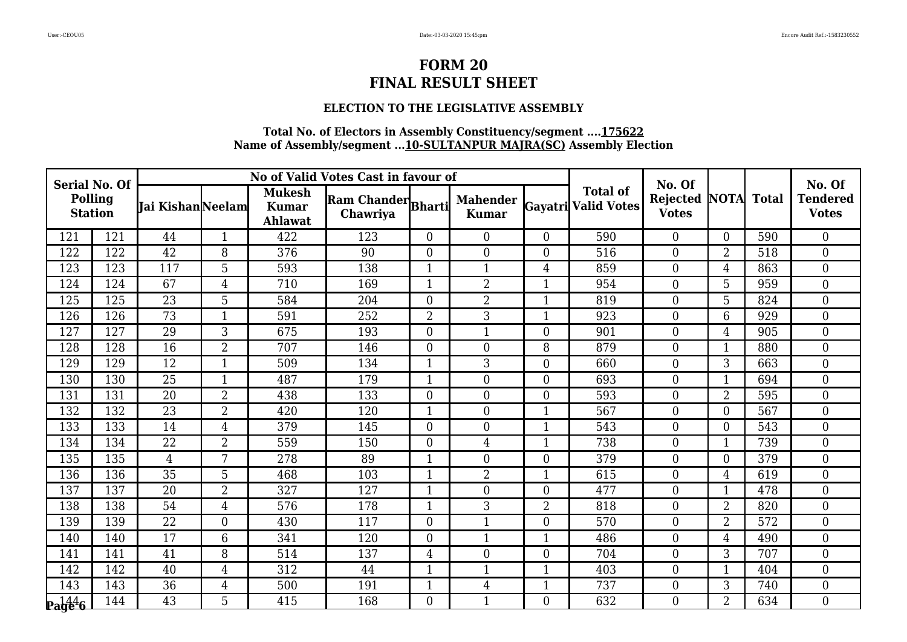### **ELECTION TO THE LEGISLATIVE ASSEMBLY**

| <b>Serial No. Of</b>                      |     |                          |                  |                                          | No of Valid Votes Cast in favour of |                  |                                 |                |                                        | No. Of                               |                |              | No. Of                          |
|-------------------------------------------|-----|--------------------------|------------------|------------------------------------------|-------------------------------------|------------------|---------------------------------|----------------|----------------------------------------|--------------------------------------|----------------|--------------|---------------------------------|
| Polling<br><b>Station</b>                 |     | <b>Tai Kishan</b> Neelam |                  | <b>Mukesh</b><br><b>Kumar</b><br>Ahlawat | Ram Chander Bharti<br>Chawriya      |                  | <b>Mahender</b><br><b>Kumar</b> |                | <b>Total of</b><br>Gayatri Valid Votes | <b>Rejected NOTA</b><br><b>Votes</b> |                | <b>Total</b> | <b>Tendered</b><br><b>Votes</b> |
| 121                                       | 121 | 44                       | $\mathbf{1}$     | 422                                      | 123                                 | $\overline{0}$   | $\boldsymbol{0}$                | $\Omega$       | 590                                    | $\overline{0}$                       | $\overline{0}$ | 590          | $\boldsymbol{0}$                |
| 122                                       | 122 | 42                       | 8                | 376                                      | 90                                  | $\boldsymbol{0}$ | $\boldsymbol{0}$                | $\overline{0}$ | 516                                    | $\boldsymbol{0}$                     | $\overline{2}$ | 518          | $\boldsymbol{0}$                |
| 123                                       | 123 | 117                      | 5                | 593                                      | 138                                 |                  | $\mathbf{1}$                    | 4              | 859                                    | $\boldsymbol{0}$                     | 4              | 863          | $\boldsymbol{0}$                |
| 124                                       | 124 | 67                       | $\overline{4}$   | 710                                      | 169                                 | $\mathbf{1}$     | $\overline{2}$                  | 1              | 954                                    | $\theta$                             | 5              | 959          | $\boldsymbol{0}$                |
| 125                                       | 125 | $\overline{23}$          | 5                | 584                                      | 204                                 | $\boldsymbol{0}$ | 2                               |                | 819                                    | $\boldsymbol{0}$                     | 5              | 824          | $\boldsymbol{0}$                |
| 126                                       | 126 | 73                       | $\overline{1}$   | 591                                      | 252                                 | $\overline{2}$   | 3                               | 1              | 923                                    | $\boldsymbol{0}$                     | 6              | 929          | $\boldsymbol{0}$                |
| 127                                       | 127 | 29                       | 3                | 675                                      | 193                                 | $\overline{0}$   | $\mathbf{1}$                    | $\Omega$       | 901                                    | $\overline{0}$                       | 4              | 905          | $\boldsymbol{0}$                |
| 128                                       | 128 | 16                       | $\overline{2}$   | 707                                      | 146                                 | $\boldsymbol{0}$ | $\boldsymbol{0}$                | 8              | 879                                    | $\boldsymbol{0}$                     | 1              | 880          | $\boldsymbol{0}$                |
| 129                                       | 129 | $\overline{12}$          | $\overline{1}$   | 509                                      | 134                                 |                  | 3                               | $\overline{0}$ | 660                                    | $\boldsymbol{0}$                     | 3              | 663          | $\boldsymbol{0}$                |
| 130                                       | 130 | 25                       | $\mathbf{1}$     | 487                                      | 179                                 | 1                | $\boldsymbol{0}$                | $\Omega$       | 693                                    | $\overline{0}$                       | 1              | 694          | $\boldsymbol{0}$                |
| 131                                       | 131 | 20                       | $\overline{2}$   | 438                                      | 133                                 | $\overline{0}$   | $\boldsymbol{0}$                | $\Omega$       | 593                                    | $\overline{0}$                       | $\overline{2}$ | 595          | $\boldsymbol{0}$                |
| 132                                       | 132 | 23                       | $\overline{2}$   | 420                                      | 120                                 |                  | $\boldsymbol{0}$                |                | 567                                    | $\boldsymbol{0}$                     | $\overline{0}$ | 567          | $\boldsymbol{0}$                |
| 133                                       | 133 | 14                       | $\overline{4}$   | 379                                      | 145                                 | $\overline{0}$   | $\boldsymbol{0}$                | 1              | 543                                    | $\overline{0}$                       | $\overline{0}$ | 543          | $\boldsymbol{0}$                |
| 134                                       | 134 | $\overline{22}$          | $\overline{2}$   | 559                                      | 150                                 | $\overline{0}$   | $\overline{4}$                  |                | 738                                    | $\boldsymbol{0}$                     | 1              | 739          | $\boldsymbol{0}$                |
| 135                                       | 135 | $\overline{4}$           | 7                | 278                                      | 89                                  |                  | $\boldsymbol{0}$                | $\overline{0}$ | 379                                    | $\boldsymbol{0}$                     | $\mathbf{0}$   | 379          | $\boldsymbol{0}$                |
| 136                                       | 136 | 35                       | 5                | 468                                      | 103                                 | $\mathbf{1}$     | $\overline{2}$                  | 1              | 615                                    | $\theta$                             | 4              | 619          | $\boldsymbol{0}$                |
| 137                                       | 137 | 20                       | $\overline{2}$   | 327                                      | 127                                 | $\mathbf{1}$     | $\boldsymbol{0}$                | $\theta$       | 477                                    | $\boldsymbol{0}$                     | 1              | 478          | $\boldsymbol{0}$                |
| 138                                       | 138 | 54                       | 4                | 576                                      | 178                                 |                  | 3                               | $\overline{2}$ | 818                                    | $\boldsymbol{0}$                     | $\overline{2}$ | 820          | $\boldsymbol{0}$                |
| 139                                       | 139 | $\overline{22}$          | $\boldsymbol{0}$ | 430                                      | 117                                 | $\overline{0}$   | $\mathbf{1}$                    | $\Omega$       | 570                                    | $\overline{0}$                       | $\overline{2}$ | 572          | $\overline{0}$                  |
| 140                                       | 140 | 17                       | 6                | 341                                      | 120                                 | $\overline{0}$   | 1                               |                | 486                                    | $\boldsymbol{0}$                     | 4              | 490          | $\boldsymbol{0}$                |
| 141                                       | 141 | 41                       | 8                | 514                                      | 137                                 | $\overline{4}$   | $\overline{0}$                  | $\theta$       | 704                                    | $\mathbf{0}$                         | 3              | 707          | $\boldsymbol{0}$                |
| 142                                       | 142 | 40                       | 4                | 312                                      | 44                                  | $\mathbf 1$      | $\mathbf{1}$                    | 1              | 403                                    | $\overline{0}$                       | $\mathbf{1}$   | 404          | $\boldsymbol{0}$                |
| 143                                       | 143 | 36                       | $\overline{4}$   | 500                                      | 191                                 |                  | $\overline{4}$                  |                | 737                                    | $\boldsymbol{0}$                     | 3              | 740          | $\boldsymbol{0}$                |
| $\mathbf{p}_\mathbf{a}$ ge <sup>4</sup> 6 | 144 | 43                       | 5                | 415                                      | 168                                 | $\boldsymbol{0}$ | $\mathbf{1}$                    | $\Omega$       | 632                                    | $\boldsymbol{0}$                     | $\overline{2}$ | 634          | $\boldsymbol{0}$                |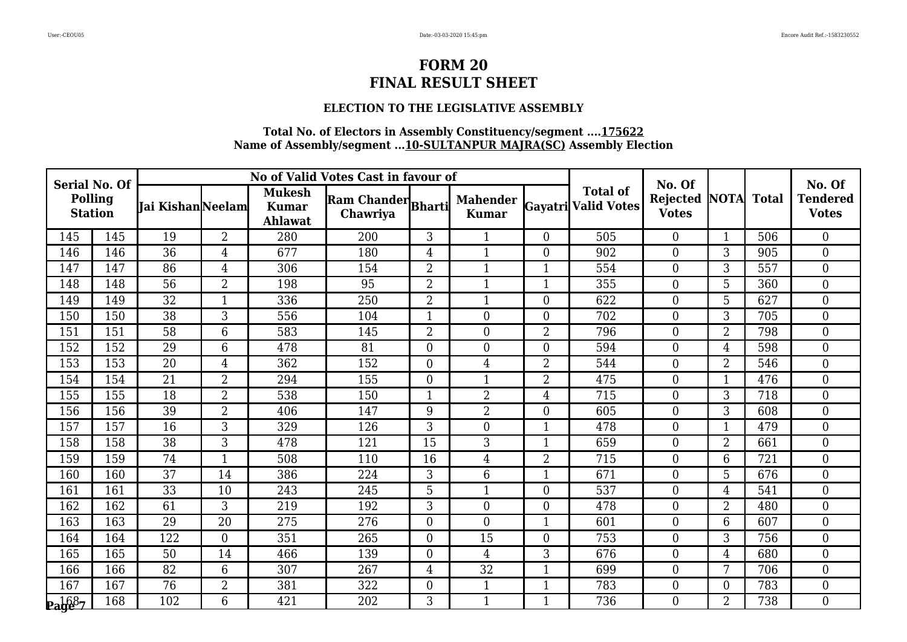### **ELECTION TO THE LEGISLATIVE ASSEMBLY**

| <b>Serial No. Of</b>      |     |                          |                |                                          | No of Valid Votes Cast in favour of |                  |                                 |                |                                        | No. Of                               |                |              | No. Of                          |
|---------------------------|-----|--------------------------|----------------|------------------------------------------|-------------------------------------|------------------|---------------------------------|----------------|----------------------------------------|--------------------------------------|----------------|--------------|---------------------------------|
| Polling<br><b>Station</b> |     | <b>Tai Kishan</b> Neelam |                | <b>Mukesh</b><br><b>Kumar</b><br>Ahlawat | Ram Chander Bharti<br>Chawriya      |                  | <b>Mahender</b><br><b>Kumar</b> |                | <b>Total of</b><br>Gayatri Valid Votes | <b>Rejected NOTA</b><br><b>Votes</b> |                | <b>Total</b> | <b>Tendered</b><br><b>Votes</b> |
| 145                       | 145 | 19                       | $\overline{2}$ | 280                                      | 200                                 | 3                | $\mathbf{1}$                    | $\Omega$       | 505                                    | $\overline{0}$                       | 1              | 506          | $\boldsymbol{0}$                |
| 146                       | 146 | 36                       | 4              | 677                                      | 180                                 | $\overline{4}$   | $\mathbf{1}$                    | $\Omega$       | 902                                    | $\boldsymbol{0}$                     | 3              | 905          | $\boldsymbol{0}$                |
| 147                       | 147 | 86                       | 4              | 306                                      | 154                                 | $\overline{2}$   | $\mathbf{1}$                    | 1              | 554                                    | $\boldsymbol{0}$                     | 3              | 557          | $\boldsymbol{0}$                |
| 148                       | 148 | 56                       | $\overline{2}$ | 198                                      | 95                                  | $\overline{2}$   | $\mathbf{1}$                    | 1              | 355                                    | $\theta$                             | 5              | 360          | $\boldsymbol{0}$                |
| 149                       | 149 | $\overline{32}$          | $\mathbf{1}$   | 336                                      | 250                                 | $\overline{2}$   | $\mathbf{1}$                    | $\Omega$       | 622                                    | $\boldsymbol{0}$                     | 5              | 627          | $\boldsymbol{0}$                |
| 150                       | 150 | 38                       | 3              | 556                                      | 104                                 |                  | $\overline{0}$                  | $\overline{0}$ | 702                                    | $\boldsymbol{0}$                     | 3              | 705          | $\boldsymbol{0}$                |
| 151                       | 151 | 58                       | 6              | 583                                      | 145                                 | $\overline{2}$   | $\boldsymbol{0}$                | $\overline{2}$ | 796                                    | $\overline{0}$                       | $\overline{2}$ | 798          | $\boldsymbol{0}$                |
| 152                       | 152 | 29                       | 6              | 478                                      | 81                                  | $\boldsymbol{0}$ | $\boldsymbol{0}$                | $\Omega$       | 594                                    | $\boldsymbol{0}$                     | 4              | 598          | $\boldsymbol{0}$                |
| 153                       | 153 | $\overline{20}$          | $\overline{4}$ | 362                                      | 152                                 | $\boldsymbol{0}$ | $\overline{4}$                  | $\overline{2}$ | 544                                    | $\boldsymbol{0}$                     | $\overline{2}$ | 546          | $\boldsymbol{0}$                |
| 154                       | 154 | 21                       | $\overline{2}$ | 294                                      | 155                                 | $\overline{0}$   | $\mathbf{1}$                    | $\overline{2}$ | 475                                    | $\overline{0}$                       | 1              | 476          | $\boldsymbol{0}$                |
| 155                       | 155 | 18                       | $\overline{2}$ | 538                                      | 150                                 | $\mathbf 1$      | $\overline{2}$                  | 4              | 715                                    | $\overline{0}$                       | 3              | 718          | $\boldsymbol{0}$                |
| 156                       | 156 | 39                       | $\overline{2}$ | 406                                      | 147                                 | 9                | $\overline{2}$                  | $\overline{0}$ | 605                                    | $\boldsymbol{0}$                     | 3              | 608          | $\boldsymbol{0}$                |
| 157                       | 157 | 16                       | 3              | 329                                      | 126                                 | 3                | $\boldsymbol{0}$                | 1              | 478                                    | $\overline{0}$                       | 1              | 479          | $\boldsymbol{0}$                |
| 158                       | 158 | $\overline{38}$          | 3              | 478                                      | 121                                 | 15               | 3                               |                | 659                                    | $\boldsymbol{0}$                     | $\overline{2}$ | 661          | $\boldsymbol{0}$                |
| 159                       | 159 | 74                       | $\overline{1}$ | 508                                      | 110                                 | 16               | $\overline{4}$                  | $\overline{2}$ | 715                                    | $\boldsymbol{0}$                     | 6              | 721          | $\boldsymbol{0}$                |
| 160                       | 160 | 37                       | 14             | 386                                      | 224                                 | 3                | 6                               | 1              | 671                                    | $\theta$                             | 5              | 676          | $\boldsymbol{0}$                |
| 161                       | 161 | 33                       | 10             | 243                                      | 245                                 | 5                | $\mathbf{1}$                    | $\theta$       | 537                                    | $\boldsymbol{0}$                     | $\overline{4}$ | 541          | $\boldsymbol{0}$                |
| 162                       | 162 | 61                       | 3              | 219                                      | 192                                 | 3                | $\boldsymbol{0}$                | $\overline{0}$ | 478                                    | $\boldsymbol{0}$                     | $\overline{2}$ | 480          | $\boldsymbol{0}$                |
| 163                       | 163 | $\overline{29}$          | 20             | 275                                      | 276                                 | $\overline{0}$   | $\overline{0}$                  | 1              | 601                                    | $\overline{0}$                       | 6              | 607          | $\overline{0}$                  |
| 164                       | 164 | 122                      | $\overline{0}$ | 351                                      | 265                                 | $\overline{0}$   | 15                              | $\theta$       | 753                                    | $\boldsymbol{0}$                     | 3              | 756          | $\boldsymbol{0}$                |
| 165                       | 165 | 50                       | 14             | 466                                      | 139                                 | $\boldsymbol{0}$ | $\overline{4}$                  | 3              | 676                                    | $\boldsymbol{0}$                     | 4              | 680          | $\boldsymbol{0}$                |
| 166                       | 166 | 82                       | 6              | 307                                      | 267                                 | $\overline{4}$   | 32                              | 1              | 699                                    | $\overline{0}$                       | 7              | 706          | $\boldsymbol{0}$                |
| 167                       | 167 | 76                       | $\overline{2}$ | 381                                      | 322                                 | $\boldsymbol{0}$ | 1                               |                | 783                                    | $\boldsymbol{0}$                     | $\mathbf{0}$   | 783          | $\boldsymbol{0}$                |
| <b>Page</b> 7             | 168 | 102                      | 6              | 421                                      | 202                                 | 3                | $\mathbf{1}$                    |                | 736                                    | $\boldsymbol{0}$                     | $\overline{2}$ | 738          | $\boldsymbol{0}$                |